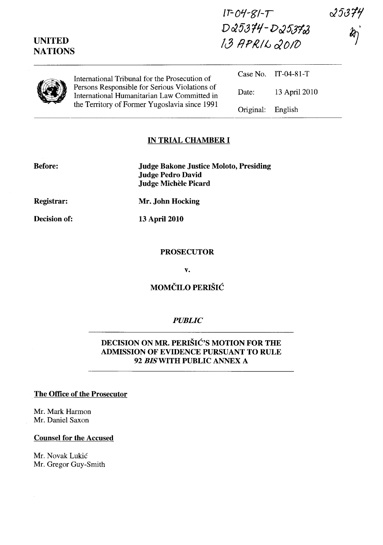| <b>UNITED</b><br><b>NATIONS</b> |                                                                                                                                                                                                | $IPO4-SI-T$<br>$D25374 - D25372$<br>13 APRIL 2010 |               | 25374<br>$\boldsymbol{k}$ |
|---------------------------------|------------------------------------------------------------------------------------------------------------------------------------------------------------------------------------------------|---------------------------------------------------|---------------|---------------------------|
|                                 | International Tribunal for the Prosecution of<br>Persons Responsible for Serious Violations of<br>International Humanitarian Law Committed in<br>the Territory of Former Yugoslavia since 1991 | Case No.                                          | IT-04-81-T    |                           |
|                                 |                                                                                                                                                                                                | Date:                                             | 13 April 2010 |                           |
|                                 |                                                                                                                                                                                                | Original:                                         | English       |                           |

# **IN TRIAL CHAMBER I**

**Before:** 

**Judge Bakone Justice Moloto, Presiding Judge Pedro David**  Judge Michèle Picard

**Registrar:** 

**Decision of:** 

**Mr. John Hocking** 

**13 April 2010** 

#### **PROSECUTOR**

**v.** 

# **MOMČILO PERIŠIĆ**

#### *PUBLIC*

# **DECISION ON MR. PERISIC'S MOTION FOR THE ADMISSION OF EVIDENCE PURSUANT TO RULE**  *92 BISWITH* **PUBLIC ANNEX A**

### **The Office of the Prosecutor**

Mr. Mark Harmon Mr. Daniel Saxon

#### **Counsel for the Accused**

Mr. Novak Lukić Mr. Gregor Guy-Smith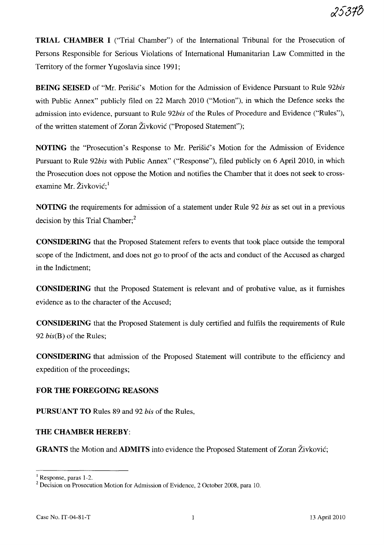**TRIAL CHAMBER I** ("Trial Chamber") of the International Tribunal for the Prosecution of Persons Responsible for Serious Violations of International Humanitarian Law Committed in the Territory of the former Yugoslavia since 1991;

**BEING SEISED** of "Mr. Perišić's Motion for the Admission of Evidence Pursuant to Rule 92bis with Public Annex" publicly filed on 22 March 2010 ("Motion"), in which the Defence seeks the admission into evidence, pursuant to Rule *92bis* of the Rules of Procedure and Evidence ("Rules"), of the written statement of Zoran Zivkovic ("Proposed Statement");

**NOTING** the "Prosecution's Response to Mr. Perišić's Motion for the Admission of Evidence Pursuant to Rule *92bis* with Public Annex" ("Response"), filed publicly on 6 April 2010, in which the Prosecution does not oppose the Motion and notifies the Chamber that it does not seek to crossexamine Mr. Živković;<sup>1</sup>

**NOTING** the requirements for admission of a statement under Rule 92 *bis* as set out in a previous decision by this Trial Chamber; $<sup>2</sup>$ </sup>

**CONSIDERING** that the Proposed Statement refers to events that took place outside the temporal scope of the Indictment, and does not go to proof of the acts and conduct of the Accused as charged in the Indictment;

**CONSIDERING** that the Proposed Statement is relevant and of probative value, as it furnishes evidence as to the character of the Accused;

**CONSIDERING** that the Proposed Statement is duly certified and fulfils the requirements of Rule *92 bis(B)* of the Rules;

**CONSIDERING** that admission of the Proposed Statement will contribute to the efficiency and expedition of the proceedings;

# **FOR THE FOREGOING REASONS**

**PURSUANT TO** Rules 89 and 92 *bis* of the Rules,

#### **THE CHAMBER HEREBY:**

**GRANTS** the Motion and **ADMITS** into evidence the Proposed Statement of Zoran Živković;

<sup>1</sup>Response, paras 1-2.

<sup>&</sup>lt;sup>2</sup> Decision on Prosecution Motion for Admission of Evidence, 2 October 2008, para 10.